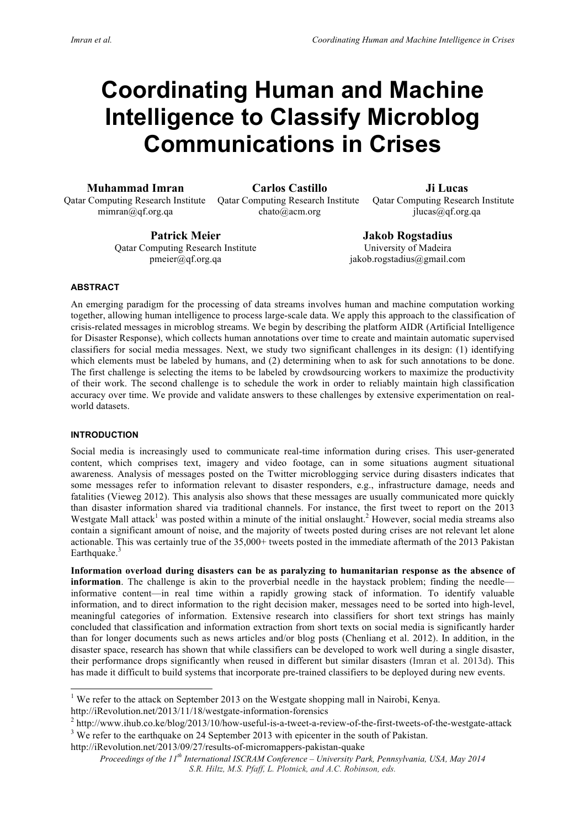# **Coordinating Human and Machine Intelligence to Classify Microblog Communications in Crises**

**Muhammad Imran Carlos Castillo Ji Lucas**

mimran@qf.org.qa chato@acm.org jlucas@qf.org.qa

Qatar Computing Research Institute Qatar Computing Research Institute Qatar Computing Research Institute

**Patrick Meier Jakob Rogstadius** Qatar Computing Research Institute University of Madeira

pmeier@qf.org.qa jakob.rogstadius@gmail.com

# **ABSTRACT**

An emerging paradigm for the processing of data streams involves human and machine computation working together, allowing human intelligence to process large-scale data. We apply this approach to the classification of crisis-related messages in microblog streams. We begin by describing the platform AIDR (Artificial Intelligence for Disaster Response), which collects human annotations over time to create and maintain automatic supervised classifiers for social media messages. Next, we study two significant challenges in its design: (1) identifying which elements must be labeled by humans, and (2) determining when to ask for such annotations to be done. The first challenge is selecting the items to be labeled by crowdsourcing workers to maximize the productivity of their work. The second challenge is to schedule the work in order to reliably maintain high classification accuracy over time. We provide and validate answers to these challenges by extensive experimentation on realworld datasets.

# **INTRODUCTION**

Social media is increasingly used to communicate real-time information during crises. This user-generated content, which comprises text, imagery and video footage, can in some situations augment situational awareness. Analysis of messages posted on the Twitter microblogging service during disasters indicates that some messages refer to information relevant to disaster responders, e.g., infrastructure damage, needs and fatalities (Vieweg 2012). This analysis also shows that these messages are usually communicated more quickly than disaster information shared via traditional channels. For instance, the first tweet to report on the 2013 Westgate Mall attack<sup>1</sup> was posted within a minute of the initial onslaught.<sup>2</sup> However, social media streams also contain a significant amount of noise, and the majority of tweets posted during crises are not relevant let alone actionable. This was certainly true of the 35,000+ tweets posted in the immediate aftermath of the 2013 Pakistan Earthquake.<sup>3</sup>

**Information overload during disasters can be as paralyzing to humanitarian response as the absence of information**. The challenge is akin to the proverbial needle in the haystack problem; finding the needle informative content—in real time within a rapidly growing stack of information. To identify valuable information, and to direct information to the right decision maker, messages need to be sorted into high-level, meaningful categories of information. Extensive research into classifiers for short text strings has mainly concluded that classification and information extraction from short texts on social media is significantly harder than for longer documents such as news articles and/or blog posts (Chenliang et al. 2012). In addition, in the disaster space, research has shown that while classifiers can be developed to work well during a single disaster, their performance drops significantly when reused in different but similar disasters (Imran et al. 2013d). This has made it difficult to build systems that incorporate pre-trained classifiers to be deployed during new events.

http://iRevolution.net/2013/11/18/westgate-information-forensics

http://iRevolution.net/2013/09/27/results-of-micromappers-pakistan-quake

<sup>&</sup>lt;sup>1</sup> We refer to the attack on September 2013 on the Westgate shopping mall in Nairobi, Kenya.

<sup>2</sup> http://www.ihub.co.ke/blog/2013/10/how-useful-is-a-tweet-a-review-of-the-first-tweets-of-the-westgate-attack <sup>3</sup> We refer to the earthquake on 24 September 2013 with epicenter in the south of Pakistan.

*Proceedings of the 11th International ISCRAM Conference – University Park, Pennsylvania, USA, May 2014 S.R. Hiltz, M.S. Pfaff, L. Plotnick, and A.C. Robinson, eds.*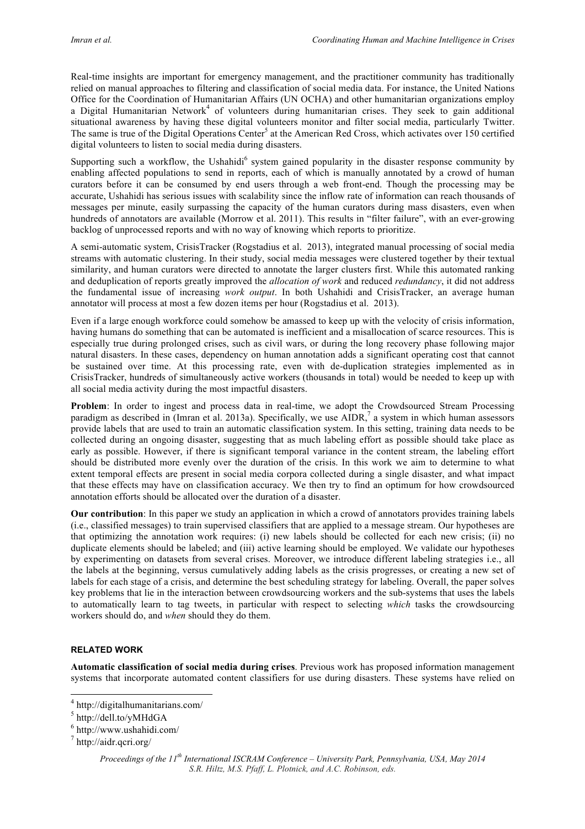Real-time insights are important for emergency management, and the practitioner community has traditionally relied on manual approaches to filtering and classification of social media data. For instance, the United Nations Office for the Coordination of Humanitarian Affairs (UN OCHA) and other humanitarian organizations employ a Digital Humanitarian Network<sup>4</sup> of volunteers during humanitarian crises. They seek to gain additional situational awareness by having these digital volunteers monitor and filter social media, particularly Twitter. The same is true of the Digital Operations Center<sup>5</sup> at the American Red Cross, which activates over 150 certified digital volunteers to listen to social media during disasters.

Supporting such a workflow, the Ushahidi<sup>6</sup> system gained popularity in the disaster response community by enabling affected populations to send in reports, each of which is manually annotated by a crowd of human curators before it can be consumed by end users through a web front-end. Though the processing may be accurate, Ushahidi has serious issues with scalability since the inflow rate of information can reach thousands of messages per minute, easily surpassing the capacity of the human curators during mass disasters, even when hundreds of annotators are available (Morrow et al. 2011). This results in "filter failure", with an ever-growing backlog of unprocessed reports and with no way of knowing which reports to prioritize.

A semi-automatic system, CrisisTracker (Rogstadius et al. 2013), integrated manual processing of social media streams with automatic clustering. In their study, social media messages were clustered together by their textual similarity, and human curators were directed to annotate the larger clusters first. While this automated ranking and deduplication of reports greatly improved the *allocation of work* and reduced *redundancy*, it did not address the fundamental issue of increasing *work output*. In both Ushahidi and CrisisTracker, an average human annotator will process at most a few dozen items per hour (Rogstadius et al. 2013).

Even if a large enough workforce could somehow be amassed to keep up with the velocity of crisis information, having humans do something that can be automated is inefficient and a misallocation of scarce resources. This is especially true during prolonged crises, such as civil wars, or during the long recovery phase following major natural disasters. In these cases, dependency on human annotation adds a significant operating cost that cannot be sustained over time. At this processing rate, even with de-duplication strategies implemented as in CrisisTracker, hundreds of simultaneously active workers (thousands in total) would be needed to keep up with all social media activity during the most impactful disasters.

**Problem**: In order to ingest and process data in real-time, we adopt the Crowdsourced Stream Processing paradigm as described in (Imran et al. 2013a). Specifically, we use  $AIDR$ , a system in which human assessors provide labels that are used to train an automatic classification system. In this setting, training data needs to be collected during an ongoing disaster, suggesting that as much labeling effort as possible should take place as early as possible. However, if there is significant temporal variance in the content stream, the labeling effort should be distributed more evenly over the duration of the crisis. In this work we aim to determine to what extent temporal effects are present in social media corpora collected during a single disaster, and what impact that these effects may have on classification accuracy. We then try to find an optimum for how crowdsourced annotation efforts should be allocated over the duration of a disaster.

**Our contribution**: In this paper we study an application in which a crowd of annotators provides training labels (i.e., classified messages) to train supervised classifiers that are applied to a message stream. Our hypotheses are that optimizing the annotation work requires: (i) new labels should be collected for each new crisis; (ii) no duplicate elements should be labeled; and (iii) active learning should be employed. We validate our hypotheses by experimenting on datasets from several crises. Moreover, we introduce different labeling strategies i.e., all the labels at the beginning, versus cumulatively adding labels as the crisis progresses, or creating a new set of labels for each stage of a crisis, and determine the best scheduling strategy for labeling. Overall, the paper solves key problems that lie in the interaction between crowdsourcing workers and the sub-systems that uses the labels to automatically learn to tag tweets, in particular with respect to selecting *which* tasks the crowdsourcing workers should do, and *when* should they do them.

# **RELATED WORK**

**Automatic classification of social media during crises**. Previous work has proposed information management systems that incorporate automated content classifiers for use during disasters. These systems have relied on

 <sup>4</sup> http://digitalhumanitarians.com/

 $5$  http://dell.to/yMHdGA

<sup>6</sup> http://www.ushahidi.com/

 $^7$  http://aidr.qcri.org/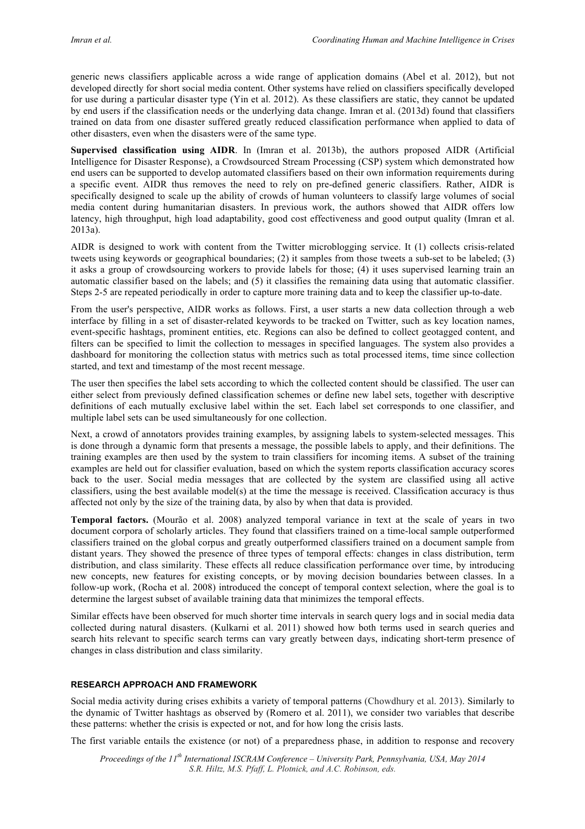generic news classifiers applicable across a wide range of application domains (Abel et al. 2012), but not developed directly for short social media content. Other systems have relied on classifiers specifically developed for use during a particular disaster type (Yin et al. 2012). As these classifiers are static, they cannot be updated by end users if the classification needs or the underlying data change. Imran et al. (2013d) found that classifiers trained on data from one disaster suffered greatly reduced classification performance when applied to data of other disasters, even when the disasters were of the same type.

**Supervised classification using AIDR**. In (Imran et al. 2013b), the authors proposed AIDR (Artificial Intelligence for Disaster Response), a Crowdsourced Stream Processing (CSP) system which demonstrated how end users can be supported to develop automated classifiers based on their own information requirements during a specific event. AIDR thus removes the need to rely on pre-defined generic classifiers. Rather, AIDR is specifically designed to scale up the ability of crowds of human volunteers to classify large volumes of social media content during humanitarian disasters. In previous work, the authors showed that AIDR offers low latency, high throughput, high load adaptability, good cost effectiveness and good output quality (Imran et al. 2013a).

AIDR is designed to work with content from the Twitter microblogging service. It (1) collects crisis-related tweets using keywords or geographical boundaries; (2) it samples from those tweets a sub-set to be labeled; (3) it asks a group of crowdsourcing workers to provide labels for those; (4) it uses supervised learning train an automatic classifier based on the labels; and (5) it classifies the remaining data using that automatic classifier. Steps 2-5 are repeated periodically in order to capture more training data and to keep the classifier up-to-date.

From the user's perspective, AIDR works as follows. First, a user starts a new data collection through a web interface by filling in a set of disaster-related keywords to be tracked on Twitter, such as key location names, event-specific hashtags, prominent entities, etc. Regions can also be defined to collect geotagged content, and filters can be specified to limit the collection to messages in specified languages. The system also provides a dashboard for monitoring the collection status with metrics such as total processed items, time since collection started, and text and timestamp of the most recent message.

The user then specifies the label sets according to which the collected content should be classified. The user can either select from previously defined classification schemes or define new label sets, together with descriptive definitions of each mutually exclusive label within the set. Each label set corresponds to one classifier, and multiple label sets can be used simultaneously for one collection.

Next, a crowd of annotators provides training examples, by assigning labels to system-selected messages. This is done through a dynamic form that presents a message, the possible labels to apply, and their definitions. The training examples are then used by the system to train classifiers for incoming items. A subset of the training examples are held out for classifier evaluation, based on which the system reports classification accuracy scores back to the user. Social media messages that are collected by the system are classified using all active classifiers, using the best available model(s) at the time the message is received. Classification accuracy is thus affected not only by the size of the training data, by also by when that data is provided.

**Temporal factors.** (Mourão et al. 2008) analyzed temporal variance in text at the scale of years in two document corpora of scholarly articles. They found that classifiers trained on a time-local sample outperformed classifiers trained on the global corpus and greatly outperformed classifiers trained on a document sample from distant years. They showed the presence of three types of temporal effects: changes in class distribution, term distribution, and class similarity. These effects all reduce classification performance over time, by introducing new concepts, new features for existing concepts, or by moving decision boundaries between classes. In a follow-up work, (Rocha et al. 2008) introduced the concept of temporal context selection, where the goal is to determine the largest subset of available training data that minimizes the temporal effects.

Similar effects have been observed for much shorter time intervals in search query logs and in social media data collected during natural disasters. (Kulkarni et al. 2011) showed how both terms used in search queries and search hits relevant to specific search terms can vary greatly between days, indicating short-term presence of changes in class distribution and class similarity.

# **RESEARCH APPROACH AND FRAMEWORK**

Social media activity during crises exhibits a variety of temporal patterns (Chowdhury et al. 2013). Similarly to the dynamic of Twitter hashtags as observed by (Romero et al. 2011), we consider two variables that describe these patterns: whether the crisis is expected or not, and for how long the crisis lasts.

The first variable entails the existence (or not) of a preparedness phase, in addition to response and recovery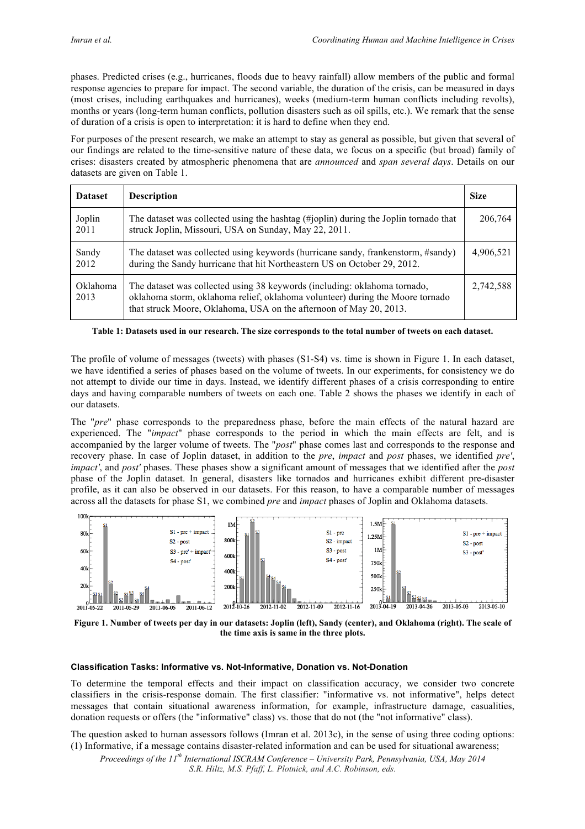phases. Predicted crises (e.g., hurricanes, floods due to heavy rainfall) allow members of the public and formal response agencies to prepare for impact. The second variable, the duration of the crisis, can be measured in days (most crises, including earthquakes and hurricanes), weeks (medium-term human conflicts including revolts), months or years (long-term human conflicts, pollution disasters such as oil spills, etc.). We remark that the sense of duration of a crisis is open to interpretation: it is hard to define when they end.

For purposes of the present research, we make an attempt to stay as general as possible, but given that several of our findings are related to the time-sensitive nature of these data, we focus on a specific (but broad) family of crises: disasters created by atmospheric phenomena that are *announced* and *span several days*. Details on our datasets are given on Table 1.

| <b>Dataset</b>   | <b>Description</b>                                                                                                                                                                                                               | <b>Size</b> |
|------------------|----------------------------------------------------------------------------------------------------------------------------------------------------------------------------------------------------------------------------------|-------------|
| Joplin<br>2011   | The dataset was collected using the hashtag (#joplin) during the Joplin tornado that<br>struck Joplin, Missouri, USA on Sunday, May 22, 2011.                                                                                    | 206,764     |
| Sandy<br>2012    | The dataset was collected using keywords (hurricane sandy, frankenstorm, #sandy)<br>during the Sandy hurricane that hit Northeastern US on October 29, 2012.                                                                     | 4,906,521   |
| Oklahoma<br>2013 | The dataset was collected using 38 keywords (including: oklahoma tornado,<br>oklahoma storm, oklahoma relief, oklahoma volunteer) during the Moore tornado<br>that struck Moore, Oklahoma, USA on the afternoon of May 20, 2013. | 2,742,588   |

#### **Table 1: Datasets used in our research. The size corresponds to the total number of tweets on each dataset.**

The profile of volume of messages (tweets) with phases (S1-S4) vs. time is shown in Figure 1. In each dataset, we have identified a series of phases based on the volume of tweets. In our experiments, for consistency we do not attempt to divide our time in days. Instead, we identify different phases of a crisis corresponding to entire days and having comparable numbers of tweets on each one. Table 2 shows the phases we identify in each of our datasets.

The "*pre*" phase corresponds to the preparedness phase, before the main effects of the natural hazard are experienced. The "*impact*" phase corresponds to the period in which the main effects are felt, and is accompanied by the larger volume of tweets. The "*post*" phase comes last and corresponds to the response and recovery phase. In case of Joplin dataset, in addition to the *pre*, *impact* and *post* phases, we identified *pre'*, *impact'*, and *post'* phases. These phases show a significant amount of messages that we identified after the *post* phase of the Joplin dataset. In general, disasters like tornados and hurricanes exhibit different pre-disaster profile, as it can also be observed in our datasets. For this reason, to have a comparable number of messages across all the datasets for phase S1, we combined *pre* and *impact* phases of Joplin and Oklahoma datasets.



**Figure 1. Number of tweets per day in our datasets: Joplin (left), Sandy (center), and Oklahoma (right). The scale of the time axis is same in the three plots.**

#### **Classification Tasks: Informative vs. Not-Informative, Donation vs. Not-Donation**

To determine the temporal effects and their impact on classification accuracy, we consider two concrete classifiers in the crisis-response domain. The first classifier: "informative vs. not informative", helps detect messages that contain situational awareness information, for example, infrastructure damage, casualities, donation requests or offers (the "informative" class) vs. those that do not (the "not informative" class).

The question asked to human assessors follows (Imran et al. 2013c), in the sense of using three coding options: (1) Informative, if a message contains disaster-related information and can be used for situational awareness;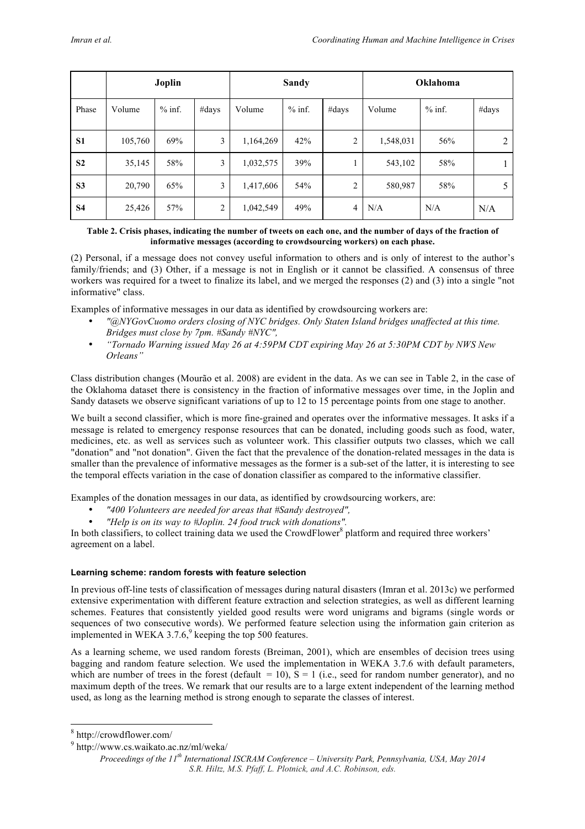|                | Joplin  |          |                | <b>Sandy</b> |          |                | Oklahoma  |          |       |
|----------------|---------|----------|----------------|--------------|----------|----------------|-----------|----------|-------|
| Phase          | Volume  | $%$ inf. | #days          | Volume       | $%$ inf. | #days          | Volume    | $%$ inf. | #days |
| S <sub>1</sub> | 105,760 | 69%      | 3              | 1,164,269    | 42%      | 2              | 1,548,031 | 56%      | 2     |
| S <sub>2</sub> | 35,145  | 58%      | 3              | 1,032,575    | 39%      |                | 543,102   | 58%      |       |
| S <sub>3</sub> | 20,790  | 65%      | 3              | 1,417,606    | 54%      | $\overline{2}$ | 580,987   | 58%      |       |
| <b>S4</b>      | 25,426  | 57%      | $\overline{2}$ | 1,042,549    | 49%      | 4              | N/A       | N/A      | N/A   |

## **Table 2. Crisis phases, indicating the number of tweets on each one, and the number of days of the fraction of informative messages (according to crowdsourcing workers) on each phase.**

(2) Personal, if a message does not convey useful information to others and is only of interest to the author's family/friends; and (3) Other, if a message is not in English or it cannot be classified. A consensus of three workers was required for a tweet to finalize its label, and we merged the responses (2) and (3) into a single "not informative" class.

Examples of informative messages in our data as identified by crowdsourcing workers are:

- *"@NYGovCuomo orders closing of NYC bridges. Only Staten Island bridges unaffected at this time. Bridges must close by 7pm. #Sandy #NYC",*
- *"Tornado Warning issued May 26 at 4:59PM CDT expiring May 26 at 5:30PM CDT by NWS New Orleans"*

Class distribution changes (Mourão et al. 2008) are evident in the data. As we can see in Table 2, in the case of the Oklahoma dataset there is consistency in the fraction of informative messages over time, in the Joplin and Sandy datasets we observe significant variations of up to 12 to 15 percentage points from one stage to another.

We built a second classifier, which is more fine-grained and operates over the informative messages. It asks if a message is related to emergency response resources that can be donated, including goods such as food, water, medicines, etc. as well as services such as volunteer work. This classifier outputs two classes, which we call "donation" and "not donation". Given the fact that the prevalence of the donation-related messages in the data is smaller than the prevalence of informative messages as the former is a sub-set of the latter, it is interesting to see the temporal effects variation in the case of donation classifier as compared to the informative classifier.

Examples of the donation messages in our data, as identified by crowdsourcing workers, are:

- *"400 Volunteers are needed for areas that #Sandy destroyed",*
- *"Help is on its way to #Joplin. 24 food truck with donations".*

In both classifiers, to collect training data we used the CrowdFlower<sup>8</sup> platform and required three workers' agreement on a label.

# **Learning scheme: random forests with feature selection**

In previous off-line tests of classification of messages during natural disasters (Imran et al. 2013c) we performed extensive experimentation with different feature extraction and selection strategies, as well as different learning schemes. Features that consistently yielded good results were word unigrams and bigrams (single words or sequences of two consecutive words). We performed feature selection using the information gain criterion as implemented in WEKA 3.7.6,<sup>9</sup> keeping the top 500 features.

As a learning scheme, we used random forests (Breiman, 2001), which are ensembles of decision trees using bagging and random feature selection. We used the implementation in WEKA 3.7.6 with default parameters, which are number of trees in the forest (default = 10),  $\overline{S}$  = 1 (i.e., seed for random number generator), and no maximum depth of the trees. We remark that our results are to a large extent independent of the learning method used, as long as the learning method is strong enough to separate the classes of interest.

 <sup>8</sup> http://crowdflower.com/

<sup>9</sup> http://www.cs.waikato.ac.nz/ml/weka/

*Proceedings of the 11th International ISCRAM Conference – University Park, Pennsylvania, USA, May 2014 S.R. Hiltz, M.S. Pfaff, L. Plotnick, and A.C. Robinson, eds.*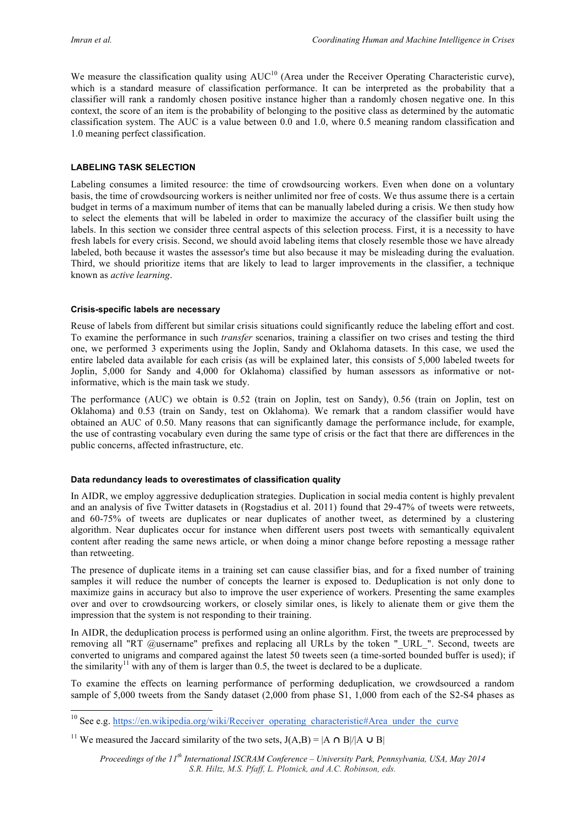We measure the classification quality using AUC<sup>10</sup> (Area under the Receiver Operating Characteristic curve), which is a standard measure of classification performance. It can be interpreted as the probability that a classifier will rank a randomly chosen positive instance higher than a randomly chosen negative one. In this context, the score of an item is the probability of belonging to the positive class as determined by the automatic classification system. The AUC is a value between 0.0 and 1.0, where 0.5 meaning random classification and 1.0 meaning perfect classification.

## **LABELING TASK SELECTION**

Labeling consumes a limited resource: the time of crowdsourcing workers. Even when done on a voluntary basis, the time of crowdsourcing workers is neither unlimited nor free of costs. We thus assume there is a certain budget in terms of a maximum number of items that can be manually labeled during a crisis. We then study how to select the elements that will be labeled in order to maximize the accuracy of the classifier built using the labels. In this section we consider three central aspects of this selection process. First, it is a necessity to have fresh labels for every crisis. Second, we should avoid labeling items that closely resemble those we have already labeled, both because it wastes the assessor's time but also because it may be misleading during the evaluation. Third, we should prioritize items that are likely to lead to larger improvements in the classifier, a technique known as *active learning*.

#### **Crisis-specific labels are necessary**

Reuse of labels from different but similar crisis situations could significantly reduce the labeling effort and cost. To examine the performance in such *transfer* scenarios, training a classifier on two crises and testing the third one, we performed 3 experiments using the Joplin, Sandy and Oklahoma datasets. In this case, we used the entire labeled data available for each crisis (as will be explained later, this consists of 5,000 labeled tweets for Joplin, 5,000 for Sandy and 4,000 for Oklahoma) classified by human assessors as informative or notinformative, which is the main task we study.

The performance (AUC) we obtain is 0.52 (train on Joplin, test on Sandy), 0.56 (train on Joplin, test on Oklahoma) and 0.53 (train on Sandy, test on Oklahoma). We remark that a random classifier would have obtained an AUC of 0.50. Many reasons that can significantly damage the performance include, for example, the use of contrasting vocabulary even during the same type of crisis or the fact that there are differences in the public concerns, affected infrastructure, etc.

#### **Data redundancy leads to overestimates of classification quality**

In AIDR, we employ aggressive deduplication strategies. Duplication in social media content is highly prevalent and an analysis of five Twitter datasets in (Rogstadius et al. 2011) found that 29-47% of tweets were retweets, and 60-75% of tweets are duplicates or near duplicates of another tweet, as determined by a clustering algorithm. Near duplicates occur for instance when different users post tweets with semantically equivalent content after reading the same news article, or when doing a minor change before reposting a message rather than retweeting.

The presence of duplicate items in a training set can cause classifier bias, and for a fixed number of training samples it will reduce the number of concepts the learner is exposed to. Deduplication is not only done to maximize gains in accuracy but also to improve the user experience of workers. Presenting the same examples over and over to crowdsourcing workers, or closely similar ones, is likely to alienate them or give them the impression that the system is not responding to their training.

In AIDR, the deduplication process is performed using an online algorithm. First, the tweets are preprocessed by removing all "RT  $@$ username" prefixes and replacing all URLs by the token " URL ". Second, tweets are converted to unigrams and compared against the latest 50 tweets seen (a time-sorted bounded buffer is used); if the similarity<sup>11</sup> with any of them is larger than 0.5, the tweet is declared to be a duplicate.

To examine the effects on learning performance of performing deduplication, we crowdsourced a random sample of 5,000 tweets from the Sandy dataset (2,000 from phase S1, 1,000 from each of the S2-S4 phases as

<sup>&</sup>lt;sup>10</sup> See e.g. https://en.wikipedia.org/wiki/Receiver\_operating\_characteristic#Area\_under\_the\_curve

<sup>&</sup>lt;sup>11</sup> We measured the Jaccard similarity of the two sets,  $J(A,B) = |A \cap B|/|A \cup B|$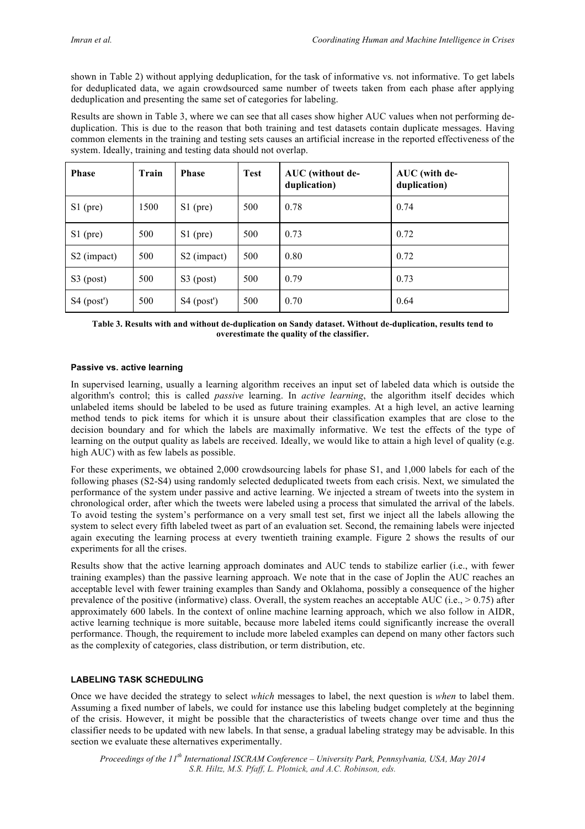shown in Table 2) without applying deduplication, for the task of informative vs. not informative. To get labels for deduplicated data, we again crowdsourced same number of tweets taken from each phase after applying deduplication and presenting the same set of categories for labeling.

Results are shown in Table 3, where we can see that all cases show higher AUC values when not performing deduplication. This is due to the reason that both training and test datasets contain duplicate messages. Having common elements in the training and testing sets causes an artificial increase in the reported effectiveness of the system. Ideally, training and testing data should not overlap.

| <b>Phase</b>            | Train | <b>Phase</b>            | <b>Test</b> | AUC (without de-<br>duplication) | AUC (with de-<br>duplication) |
|-------------------------|-------|-------------------------|-------------|----------------------------------|-------------------------------|
| $S1$ (pre)              | 1500  | $S1$ (pre)              | 500         | 0.78                             | 0.74                          |
| $S1$ (pre)              | 500   | $S1$ (pre)              | 500         | 0.73                             | 0.72                          |
| S <sub>2</sub> (impact) | 500   | S <sub>2</sub> (impact) | 500         | 0.80                             | 0.72                          |
| $S3$ (post)             | 500   | $S3$ (post)             | 500         | 0.79                             | 0.73                          |
| $S4$ (post')            | 500   | $S4$ (post')            | 500         | 0.70                             | 0.64                          |

**Table 3. Results with and without de-duplication on Sandy dataset. Without de-duplication, results tend to overestimate the quality of the classifier.**

#### **Passive vs. active learning**

In supervised learning, usually a learning algorithm receives an input set of labeled data which is outside the algorithm's control; this is called *passive* learning. In *active learning*, the algorithm itself decides which unlabeled items should be labeled to be used as future training examples. At a high level, an active learning method tends to pick items for which it is unsure about their classification examples that are close to the decision boundary and for which the labels are maximally informative. We test the effects of the type of learning on the output quality as labels are received. Ideally, we would like to attain a high level of quality (e.g. high AUC) with as few labels as possible.

For these experiments, we obtained 2,000 crowdsourcing labels for phase S1, and 1,000 labels for each of the following phases (S2-S4) using randomly selected deduplicated tweets from each crisis. Next, we simulated the performance of the system under passive and active learning. We injected a stream of tweets into the system in chronological order, after which the tweets were labeled using a process that simulated the arrival of the labels. To avoid testing the system's performance on a very small test set, first we inject all the labels allowing the system to select every fifth labeled tweet as part of an evaluation set. Second, the remaining labels were injected again executing the learning process at every twentieth training example. Figure 2 shows the results of our experiments for all the crises.

Results show that the active learning approach dominates and AUC tends to stabilize earlier (i.e., with fewer training examples) than the passive learning approach. We note that in the case of Joplin the AUC reaches an acceptable level with fewer training examples than Sandy and Oklahoma, possibly a consequence of the higher prevalence of the positive (informative) class. Overall, the system reaches an acceptable AUC (i.e.,  $> 0.75$ ) after approximately 600 labels. In the context of online machine learning approach, which we also follow in AIDR, active learning technique is more suitable, because more labeled items could significantly increase the overall performance. Though, the requirement to include more labeled examples can depend on many other factors such as the complexity of categories, class distribution, or term distribution, etc.

# **LABELING TASK SCHEDULING**

Once we have decided the strategy to select *which* messages to label, the next question is *when* to label them. Assuming a fixed number of labels, we could for instance use this labeling budget completely at the beginning of the crisis. However, it might be possible that the characteristics of tweets change over time and thus the classifier needs to be updated with new labels. In that sense, a gradual labeling strategy may be advisable. In this section we evaluate these alternatives experimentally.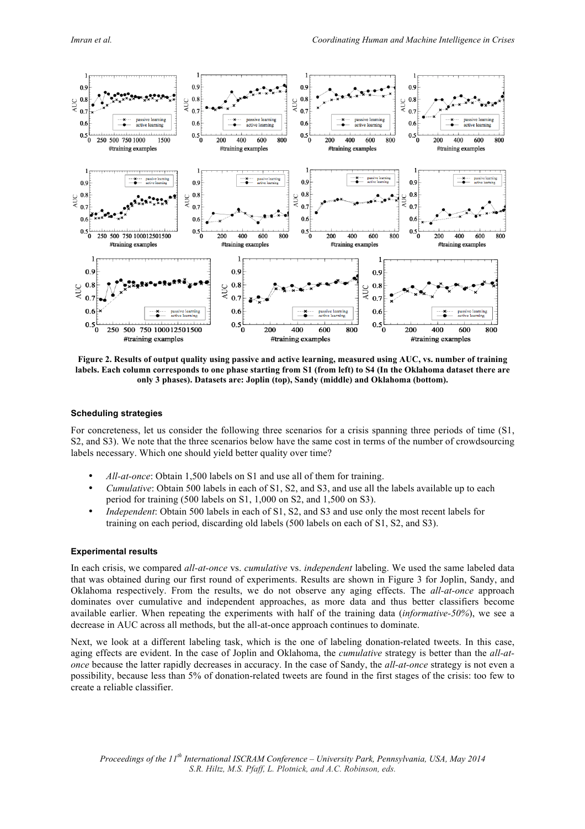

**Figure 2. Results of output quality using passive and active learning, measured using AUC, vs. number of training labels. Each column corresponds to one phase starting from S1 (from left) to S4 (In the Oklahoma dataset there are only 3 phases). Datasets are: Joplin (top), Sandy (middle) and Oklahoma (bottom).**

## **Scheduling strategies**

For concreteness, let us consider the following three scenarios for a crisis spanning three periods of time (S1, S2, and S3). We note that the three scenarios below have the same cost in terms of the number of crowdsourcing labels necessary. Which one should yield better quality over time?

- *All-at-once*: Obtain 1,500 labels on S1 and use all of them for training.
- *Cumulative*: Obtain 500 labels in each of S1, S2, and S3, and use all the labels available up to each period for training (500 labels on S1, 1,000 on S2, and 1,500 on S3).
- *Independent*: Obtain 500 labels in each of S1, S2, and S3 and use only the most recent labels for training on each period, discarding old labels (500 labels on each of S1, S2, and S3).

#### **Experimental results**

In each crisis, we compared *all-at-once* vs. *cumulative* vs. *independent* labeling. We used the same labeled data that was obtained during our first round of experiments. Results are shown in Figure 3 for Joplin, Sandy, and Oklahoma respectively. From the results, we do not observe any aging effects. The *all-at-once* approach dominates over cumulative and independent approaches, as more data and thus better classifiers become available earlier. When repeating the experiments with half of the training data (*informative-50%*), we see a decrease in AUC across all methods, but the all-at-once approach continues to dominate.

Next, we look at a different labeling task, which is the one of labeling donation-related tweets. In this case, aging effects are evident. In the case of Joplin and Oklahoma, the *cumulative* strategy is better than the *all-atonce* because the latter rapidly decreases in accuracy. In the case of Sandy, the *all-at-once* strategy is not even a possibility, because less than 5% of donation-related tweets are found in the first stages of the crisis: too few to create a reliable classifier.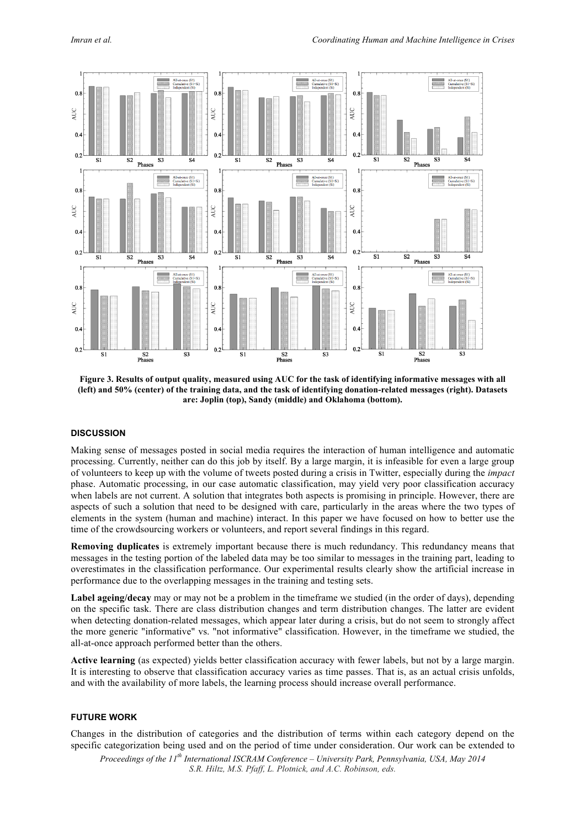

**Figure 3. Results of output quality, measured using AUC for the task of identifying informative messages with all (left) and 50% (center) of the training data, and the task of identifying donation-related messages (right). Datasets are: Joplin (top), Sandy (middle) and Oklahoma (bottom).**

# **DISCUSSION**

Making sense of messages posted in social media requires the interaction of human intelligence and automatic processing. Currently, neither can do this job by itself. By a large margin, it is infeasible for even a large group of volunteers to keep up with the volume of tweets posted during a crisis in Twitter, especially during the *impact* phase. Automatic processing, in our case automatic classification, may yield very poor classification accuracy when labels are not current. A solution that integrates both aspects is promising in principle. However, there are aspects of such a solution that need to be designed with care, particularly in the areas where the two types of elements in the system (human and machine) interact. In this paper we have focused on how to better use the time of the crowdsourcing workers or volunteers, and report several findings in this regard.

**Removing duplicates** is extremely important because there is much redundancy. This redundancy means that messages in the testing portion of the labeled data may be too similar to messages in the training part, leading to overestimates in the classification performance. Our experimental results clearly show the artificial increase in performance due to the overlapping messages in the training and testing sets.

**Label ageing/decay** may or may not be a problem in the timeframe we studied (in the order of days), depending on the specific task. There are class distribution changes and term distribution changes. The latter are evident when detecting donation-related messages, which appear later during a crisis, but do not seem to strongly affect the more generic "informative" vs. "not informative" classification. However, in the timeframe we studied, the all-at-once approach performed better than the others.

**Active learning** (as expected) yields better classification accuracy with fewer labels, but not by a large margin. It is interesting to observe that classification accuracy varies as time passes. That is, as an actual crisis unfolds, and with the availability of more labels, the learning process should increase overall performance.

# **FUTURE WORK**

Changes in the distribution of categories and the distribution of terms within each category depend on the specific categorization being used and on the period of time under consideration. Our work can be extended to